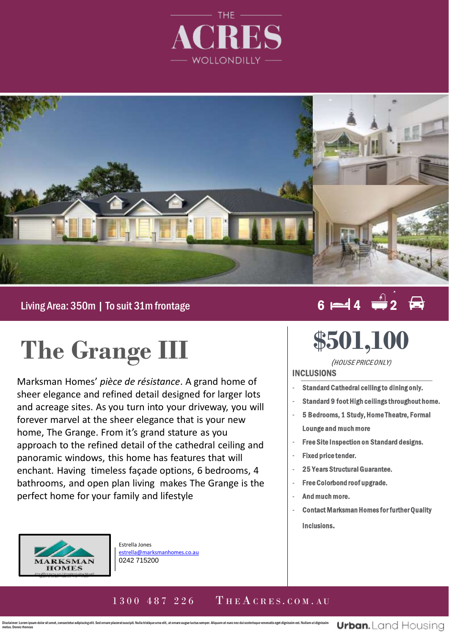



## Living Area: 350m | To suit 31m frontage

# **The Grange III**

Marksman Homes' *pièce de résistance*. A grand home of . sheer elegance and refined detail designed for larger lots and acreage sites. As you turn into your driveway, you will forever marvel at the sheer elegance that is your new home, The Grange. From it's grand stature as you approach to the refined detail of the cathedral ceiling and panoramic windows, this home has features that will enchant. Having timeless façade options, 6 bedrooms, 4 bathrooms, and open plan living makes The Grange is the perfect home for your family and lifestyle



Estrella Jones [estrella@marksmanhomes.co.au](mailto:estrella@marksmanhomes.co.au) 0242 715200

# $6 \rightarrow 4 \rightarrow 2 \rightarrow$

# **\$501,100**

#### (HOUSE PRICEONLY)

#### INCLUSIONS

- Standard Cathedral ceiling to dining only.
- Standard 9 foot High ceilings throughout home.
- 5 Bedrooms, 1 Study, Home Theatre, Formal Lounge and much more
- Free Site Inspection on Standard designs.
- Fixed price tender.
- 25 Years Structural Guarantee.
- Free Colorbond roof upgrade.
- And much more.
- Contact Marksman Homes for further Quality Inclusions.

### 1300 487 226 THEACRES.COM.AU

Disclaimer: Lorem ipsum dolor sit amet, consectetur adipiscing elit. Sed omare placerat suscipit. Nulla tristique urna elit, at omare augue luctus semper. Aliquam at nunc nec dui scelerisque venenatis eget dignissim est. N metus. Donec rhoncus

**Urban.** Land Housing